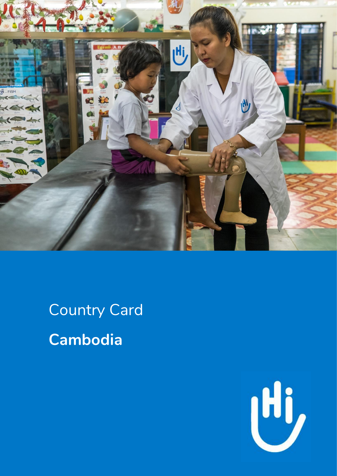

Country Card **Cambodia**

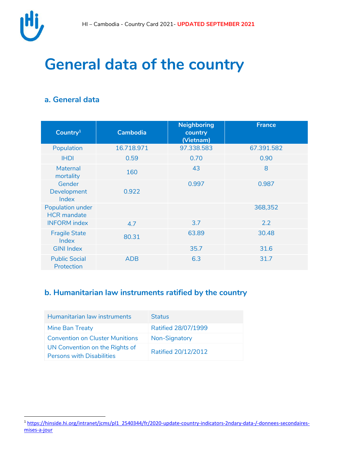

 $\overline{a}$ 

## **General data of the country**

### **a. General data**

|                                               |                 | <b>Neighboring</b>   | France     |
|-----------------------------------------------|-----------------|----------------------|------------|
| Country <sup>1</sup>                          | <b>Cambodia</b> | country<br>(Vietnam) |            |
| Population                                    | 16.718.971      | 97.338.583           | 67.391.582 |
| <b>IHDI</b>                                   | 0.59            | 0.70                 | 0.90       |
| <b>Maternal</b><br>mortality                  | 160             | 43                   | 8          |
| Gender<br>Development<br>Index                | 0.922           | 0.997                | 0.987      |
| <b>Population under</b><br><b>HCR</b> mandate |                 |                      | 368,352    |
| <b>INFORM</b> index                           | 4.7             | 3.7                  | 2.2        |
| <b>Fragile State</b><br>Index                 | 80.31           | 63.89                | 30.48      |
| <b>GINI Index</b>                             |                 | 35.7                 | 31.6       |
| <b>Public Social</b><br>Protection            | <b>ADB</b>      | 6.3                  | 31.7       |

#### **b. Humanitarian law instruments ratified by the country**

| Humanitarian law instruments                                       | <b>Status</b>       |
|--------------------------------------------------------------------|---------------------|
| Mine Ban Treaty                                                    | Ratified 28/07/1999 |
| <b>Convention on Cluster Munitions</b>                             | Non-Signatory       |
| UN Convention on the Rights of<br><b>Persons with Disabilities</b> | Ratified 20/12/2012 |

<sup>&</sup>lt;sup>1</sup> [https://hinside.hi.org/intranet/jcms/pl1\\_2540344/fr/2020-update-country-indicators-2ndary-data-/-donnees-secondaires](https://hinside.hi.org/intranet/jcms/pl1_2540344/fr/2020-update-country-indicators-2ndary-data-/-donnees-secondaires-mises-a-jour)[mises-a-jour](https://hinside.hi.org/intranet/jcms/pl1_2540344/fr/2020-update-country-indicators-2ndary-data-/-donnees-secondaires-mises-a-jour)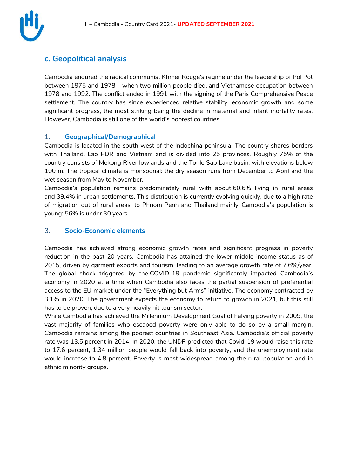

#### **c. Geopolitical analysis**

Cambodia endured the radical communist Khmer Rouge's regime under the leadership of Pol Pot between 1975 and 1978 – when two million people died, and Vietnamese occupation between 1978 and 1992. The conflict ended in 1991 with the signing of the Paris Comprehensive Peace settlement. The country has since experienced relative stability, economic growth and some significant progress, the most striking being the decline in maternal and infant mortality rates. However, Cambodia is still one of the world's poorest countries.

#### 1. **Geographical/Demographical**

Cambodia is located in the south west of the Indochina peninsula. The country shares borders with Thailand, Lao PDR and Vietnam and is divided into 25 provinces. Roughly 75% of the country consists of Mekong River lowlands and the Tonle Sap Lake basin, with elevations below 100 m. The tropical climate is monsoonal: the dry season runs from December to April and the wet season from May to November.

Cambodia's population remains predominately rural with about 60.6% living in rural areas and 39.4% in urban settlements. This distribution is currently evolving quickly, due to a high rate of migration out of rural areas, to Phnom Penh and Thailand mainly. Cambodia's population is young: 56% is under 30 years.

#### 3. **Socio-Economic elements**

Cambodia has achieved strong economic growth rates and significant progress in poverty reduction in the past 20 years. Cambodia has attained the lower middle-income status as of 2015, driven by garment exports and tourism, leading to an average growth rate of 7.6%/year. The global shock triggered by the COVID-19 pandemic significantly impacted Cambodia's economy in 2020 at a time when Cambodia also faces the partial suspension of preferential access to the EU market under the "Everything but Arms" initiative. The economy contracted by 3.1% in 2020. The government expects the economy to return to growth in 2021, but this still has to be proven, due to a very heavily hit tourism sector.

While Cambodia has achieved the Millennium Development Goal of halving poverty in 2009, the vast majority of families who escaped poverty were only able to do so by a small margin. Cambodia remains among the poorest countries in Southeast Asia. [Cambodia's official](https://www.worldbank.org/en/country/cambodia/overview) poverty [rate](https://www.worldbank.org/en/country/cambodia/overview) was 13.5 percent in 2014. In 2020, [the UNDP predicted](https://www.kh.undp.org/content/cambodia/en/home/library/covid-19-economic-and-social-impact-assessment-in-cambodia.html) that Covid-19 would raise this rate to 17.6 percent, 1.34 million people would fall back into poverty, and the unemployment rate would increase to 4.8 percent. Poverty is most widespread among the rural population and in ethnic minority groups.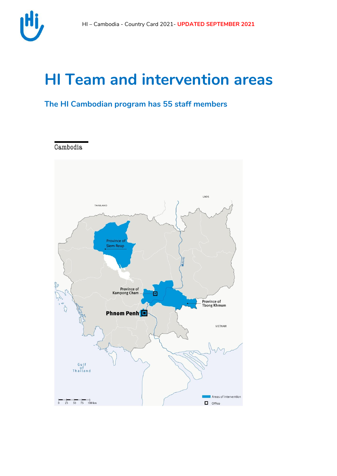

## **HI Team and intervention areas**

### **The HI Cambodian program has 55 staff members**



Cambodia

 $\overline{0}$  25 50 75 100 km



 $\Box$  Office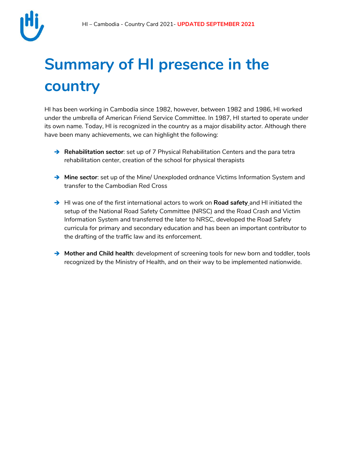

# **Summary of HI presence in the country**

HI has been working in Cambodia since 1982, however, between 1982 and 1986, HI worked under the umbrella of American Friend Service Committee. In 1987, HI started to operate under its own name. Today, HI is recognized in the country as a major disability actor. Although there have been many achievements, we can highlight the following:

- **→ Rehabilitation sector**: set up of 7 Physical Rehabilitation Centers and the para tetra rehabilitation center, creation of the school for physical therapists
- **Mine sector**: set up of the Mine/ Unexploded ordnance Victims Information System and transfer to the Cambodian Red Cross
- → HI was one of the first international actors to work on **Road safety** and HI initiated the setup of the National Road Safety Committee (NRSC) and the Road Crash and Victim Information System and transferred the later to NRSC, developed the Road Safety curricula for primary and secondary education and has been an important contributor to the drafting of the traffic law and its enforcement.
- → Mother and Child health: development of screening tools for new born and toddler, tools recognized by the Ministry of Health, and on their way to be implemented nationwide.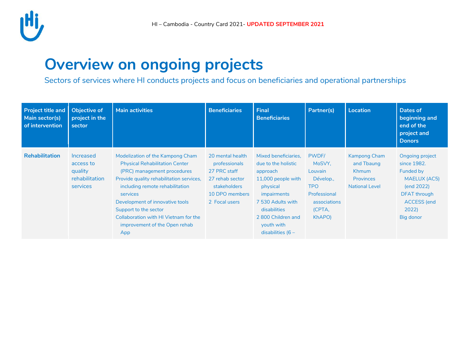

## **Overview on ongoing projects**

Sectors of services where HI conducts projects and focus on beneficiaries and operational partnerships

| <b>Project title and</b><br>Main sector(s)<br>of intervention | <b>Objective of</b><br>project in the<br>sector                 | <b>Main activities</b>                                                                                                                                                                                                                                                                                                                           | <b>Beneficiaries</b>                                                                                                    | <b>Final</b><br><b>Beneficiaries</b>                                                                                                                                                                     | Partner(s)                                                                                                | <b>Location</b>                                                                                | Dates of<br>beginning and<br>end of the<br>project and<br><b>Donors</b>                                                                     |
|---------------------------------------------------------------|-----------------------------------------------------------------|--------------------------------------------------------------------------------------------------------------------------------------------------------------------------------------------------------------------------------------------------------------------------------------------------------------------------------------------------|-------------------------------------------------------------------------------------------------------------------------|----------------------------------------------------------------------------------------------------------------------------------------------------------------------------------------------------------|-----------------------------------------------------------------------------------------------------------|------------------------------------------------------------------------------------------------|---------------------------------------------------------------------------------------------------------------------------------------------|
| <b>Rehabilitation</b>                                         | Increased<br>access to<br>quality<br>rehabilitation<br>services | Modelization of the Kampong Cham<br><b>Physical Rehabilitation Center</b><br>(PRC) management procedures<br>Provide quality rehabilitation services,<br>including remote rehabilitation<br>services<br>Development of innovative tools<br>Support to the sector<br>Collaboration with HI Vietnam for the<br>improvement of the Open rehab<br>App | 20 mental health<br>professionals<br>27 PRC staff<br>27 rehab sector<br>stakeholders<br>10 DPO members<br>2 Focal users | Mixed beneficiaries.<br>due to the holistic<br>approach<br>11,000 people with<br>physical<br>impairments<br>7 530 Adults with<br>disabilities<br>2800 Children and<br>youth with<br>disabilities ( $6 -$ | PWDF/<br>MoSVY,<br>Louvain<br>Dévelop.,<br><b>TPO</b><br>Professional<br>associations<br>(CPTA,<br>KhAPO) | <b>Kampong Cham</b><br>and Tbaung<br><b>Khmum</b><br><b>Provinces</b><br><b>National Level</b> | Ongoing project<br>since 1982.<br>Funded by<br><b>MAELUX (AC5)</b><br>(end 2022)<br>DFAT through<br><b>ACCESS</b> (end<br>2022<br>Big donor |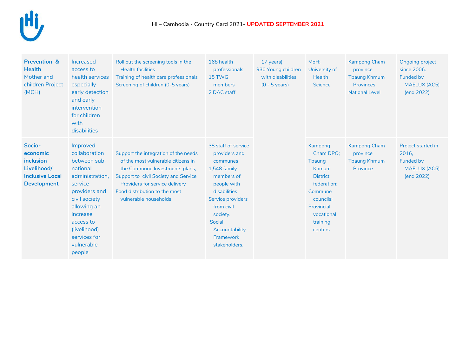

| <b>Prevention &amp;</b><br><b>Health</b><br>Mother and<br>children Project<br>(MCH)            | Increased<br>access to<br>health services<br>especially<br>early detection<br>and early<br>intervention<br>for children<br>with<br>disabilities                                                                       | Roll out the screening tools in the<br><b>Health facilities</b><br>Training of health care professionals<br>Screening of children (0-5 years)                                                                                                    | 168 health<br>professionals<br>15 TWG<br>members<br>2 DAC staff                                                                                                                                                               | 17 years)<br>930 Young children<br>with disabilities<br>$(0 - 5$ years) | MoH;<br>University of<br><b>Health</b><br><b>Science</b>                                                                                                    | <b>Kampong Cham</b><br>province<br><b>Tbaung Khmum</b><br><b>Provinces</b><br><b>National Level</b> | Ongoing project<br>since 2006.<br>Funded by<br><b>MAELUX (AC5)</b><br>(end 2022) |
|------------------------------------------------------------------------------------------------|-----------------------------------------------------------------------------------------------------------------------------------------------------------------------------------------------------------------------|--------------------------------------------------------------------------------------------------------------------------------------------------------------------------------------------------------------------------------------------------|-------------------------------------------------------------------------------------------------------------------------------------------------------------------------------------------------------------------------------|-------------------------------------------------------------------------|-------------------------------------------------------------------------------------------------------------------------------------------------------------|-----------------------------------------------------------------------------------------------------|----------------------------------------------------------------------------------|
| Socio-<br>economic<br>inclusion<br>Livelihood/<br><b>Inclusive Local</b><br><b>Development</b> | Improved<br>collaboration<br>between sub-<br>national<br>administration,<br>service<br>providers and<br>civil society<br>allowing an<br>increase<br>access to<br>(livelihood)<br>services for<br>vulnerable<br>people | Support the integration of the needs<br>of the most vulnerable citizens in<br>the Commune Investments plans,<br>Support to civil Society and Service<br>Providers for service delivery<br>Food distribution to the most<br>vulnerable households | 38 staff of service<br>providers and<br>communes<br>1,548 family<br>members of<br>people with<br>disabilities<br>Service providers<br>from civil<br>society.<br><b>Social</b><br>Accountability<br>Framework<br>stakeholders. |                                                                         | Kampong<br>Cham DPO:<br><b>Thaung</b><br>Khmum<br><b>District</b><br>federation;<br>Commune<br>councils;<br>Provincial<br>vocational<br>training<br>centers | <b>Kampong Cham</b><br>province<br><b>Tbaung Khmum</b><br>Province                                  | Project started in<br>2016,<br>Funded by<br><b>MAELUX (AC5)</b><br>(end 2022)    |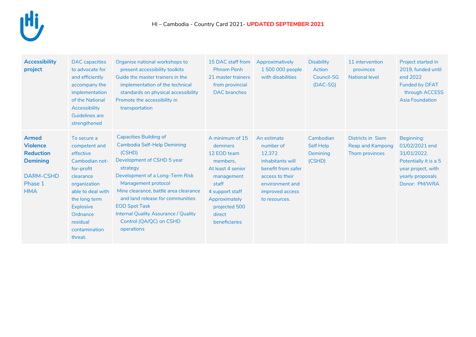

| <b>Accessibility</b><br>project                                                                                     | <b>DAC</b> capacities<br>to advocate for<br>and efficiently<br>accompany the<br>implementation<br>of the National<br>Accessibility<br><b>Guidelines are</b><br>strengthened                                          | Organise national workshops to<br>present accessibility toolkits<br>Guide the master trainers in the<br>implementation of the technical<br>standards on physical accessibility<br>Promote the accessibility in<br>transportation                                                                                                                                        | 15 DAC staff from<br><b>Phnom Penh</b><br>21 master trainers<br>from provincial<br><b>DAC</b> branches                                                                             | Approximatively<br>1 500 000 people<br>with disabilities                                                                                               | <b>Disability</b><br><b>Action</b><br><b>Council-SG</b><br>$(DAC-SG)$ | 11 intervention<br>provinces<br><b>National level</b>          | Project started in<br>2019, funded until<br>end 2022<br><b>Funded by DFAT</b><br>through ACCESS<br><b>Asia Foundation</b>       |
|---------------------------------------------------------------------------------------------------------------------|----------------------------------------------------------------------------------------------------------------------------------------------------------------------------------------------------------------------|-------------------------------------------------------------------------------------------------------------------------------------------------------------------------------------------------------------------------------------------------------------------------------------------------------------------------------------------------------------------------|------------------------------------------------------------------------------------------------------------------------------------------------------------------------------------|--------------------------------------------------------------------------------------------------------------------------------------------------------|-----------------------------------------------------------------------|----------------------------------------------------------------|---------------------------------------------------------------------------------------------------------------------------------|
| <b>Armed</b><br><b>Violence</b><br><b>Reduction</b><br><b>Demining</b><br><b>DARM-CSHD</b><br>Phase 1<br><b>HMA</b> | To secure a<br>competent and<br>effective<br>Cambodian not-<br>for-profit<br>clearance<br>organization<br>able to deal with<br>the long term<br><b>Explosive</b><br>Ordnance<br>residual<br>contamination<br>threat. | <b>Capacities Building of</b><br>Cambodia Self-Help Demining<br>(CSHD)<br>Development of CSHD 5 year<br>strategy<br>Development of a Long-Term Risk<br>Management protocol<br>Mine clearance, battle area clearance<br>and land release for communities<br><b>EOD Spot Task</b><br><b>Internal Quality Assurance / Quality</b><br>Control (QA/QC) on CSHD<br>operations | A minimum of 15<br>deminers<br>12 EOD team<br>members,<br>At least 4 senior<br>management<br>staff<br>4 support staff<br>Approximately<br>projected 500<br>direct<br>beneficiaries | An estimate<br>number of<br>12,372<br>inhabitants will<br>benefit from safer<br>access to their<br>environment and<br>improved access<br>to resources. | Cambodian<br>Self Help<br>Demining<br>(CSHD)                          | <b>Districts in Siem</b><br>Reap and Kampong<br>Thom provinces | Beginning:<br>01/02/2021 end<br>31/01/2022.<br>Potentially it is a 5<br>year project, with<br>yearly proposals<br>Donor: PM/WRA |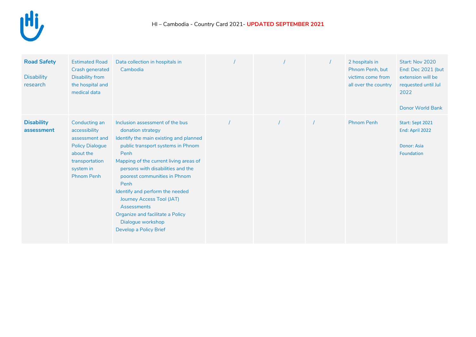

| <b>Road Safety</b><br><b>Disability</b><br>research | <b>Estimated Road</b><br>Crash generated<br><b>Disability from</b><br>the hospital and<br>medical data                                      | Data collection in hospitals in<br>Cambodia                                                                                                                                                                                                                                                                                                                                                                                          |  | 2 hospitals in<br>Phnom Penh, but<br>victims come from<br>all over the country | Start: Nov 2020<br>End: Dec 2021 (but<br>extension will be<br>requested until Jul<br>2022<br><b>Donor World Bank</b> |
|-----------------------------------------------------|---------------------------------------------------------------------------------------------------------------------------------------------|--------------------------------------------------------------------------------------------------------------------------------------------------------------------------------------------------------------------------------------------------------------------------------------------------------------------------------------------------------------------------------------------------------------------------------------|--|--------------------------------------------------------------------------------|----------------------------------------------------------------------------------------------------------------------|
| <b>Disability</b><br>assessment                     | Conducting an<br>accessibility<br>assessment and<br><b>Policy Dialogue</b><br>about the<br>transportation<br>system in<br><b>Phnom Penh</b> | Inclusion assessment of the bus<br>donation strategy<br>Identify the main existing and planned<br>public transport systems in Phnom<br>Penh<br>Mapping of the current living areas of<br>persons with disabilities and the<br>poorest communities in Phnom<br>Penh<br>Identify and perform the needed<br>Journey Access Tool (JAT)<br>Assessments<br>Organize and facilitate a Policy<br>Dialogue workshop<br>Develop a Policy Brief |  | <b>Phnom Penh</b>                                                              | Start: Sept 2021<br>End: April 2022<br>Donor: Asia<br>Foundation                                                     |